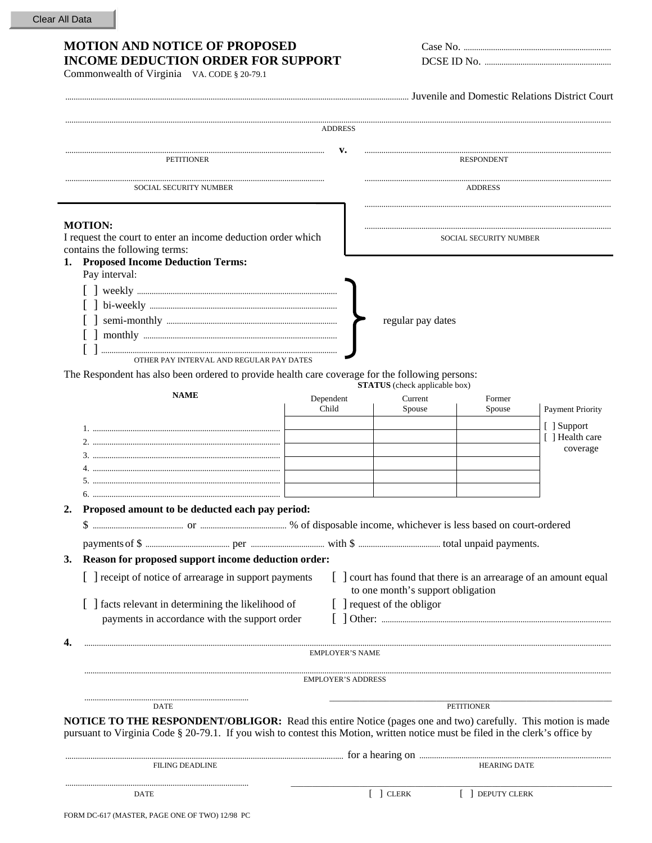## MOTION AND NOTICE OF PROPOSED **INCOME DEDUCTION ORDER FOR SUPPORT**

Commonwealth of Virginia VA. CODE § 20-79.1

| Case No.   |  |
|------------|--|
| DCSE ID No |  |

Juvenile and Domestic Relations District Court

|                                                                                                                                                                                                                                                                                               | ADDRESS                   |                                                                 |                     |                         |
|-----------------------------------------------------------------------------------------------------------------------------------------------------------------------------------------------------------------------------------------------------------------------------------------------|---------------------------|-----------------------------------------------------------------|---------------------|-------------------------|
| <b>PETITIONER</b>                                                                                                                                                                                                                                                                             | <b>RESPONDENT</b>         |                                                                 |                     |                         |
| <b>SOCIAL SECURITY NUMBER</b>                                                                                                                                                                                                                                                                 | <b>ADDRESS</b>            |                                                                 |                     |                         |
| <b>MOTION:</b><br>I request the court to enter an income deduction order which<br>contains the following terms:<br>1. Proposed Income Deduction Terms:                                                                                                                                        | SOCIAL SECURITY NUMBER    |                                                                 |                     |                         |
| Pay interval:<br>OTHER PAY INTERVAL AND REGULAR PAY DATES<br>The Respondent has also been ordered to provide health care coverage for the following persons:                                                                                                                                  |                           | regular pay dates                                               |                     |                         |
| <b>NAME</b>                                                                                                                                                                                                                                                                                   | Dependent                 | <b>STATUS</b> (check applicable box)<br>Current                 | Former              |                         |
|                                                                                                                                                                                                                                                                                               | Child                     | Spouse                                                          | Spouse              | <b>Payment Priority</b> |
|                                                                                                                                                                                                                                                                                               |                           |                                                                 |                     | [ ] Support             |
|                                                                                                                                                                                                                                                                                               |                           |                                                                 |                     | [ ] Health care         |
|                                                                                                                                                                                                                                                                                               |                           |                                                                 |                     | coverage                |
|                                                                                                                                                                                                                                                                                               |                           |                                                                 |                     |                         |
|                                                                                                                                                                                                                                                                                               |                           |                                                                 |                     |                         |
|                                                                                                                                                                                                                                                                                               |                           |                                                                 |                     |                         |
| Proposed amount to be deducted each pay period:<br>2.                                                                                                                                                                                                                                         |                           |                                                                 |                     |                         |
|                                                                                                                                                                                                                                                                                               |                           |                                                                 |                     |                         |
|                                                                                                                                                                                                                                                                                               |                           |                                                                 |                     |                         |
|                                                                                                                                                                                                                                                                                               |                           |                                                                 |                     |                         |
| Reason for proposed support income deduction order:<br>3.<br>[ ] receipt of notice of arrearage in support payments [ ] court has found that there is an arrearage of an amount equal<br>[ ] facts relevant in determining the likelihood of<br>payments in accordance with the support order |                           | to one month's support obligation<br>[ ] request of the obligor |                     |                         |
|                                                                                                                                                                                                                                                                                               | <b>EMPLOYER'S NAME</b>    |                                                                 |                     |                         |
|                                                                                                                                                                                                                                                                                               |                           |                                                                 |                     |                         |
|                                                                                                                                                                                                                                                                                               | <b>EMPLOYER'S ADDRESS</b> |                                                                 |                     |                         |
|                                                                                                                                                                                                                                                                                               |                           |                                                                 |                     |                         |
| DATE                                                                                                                                                                                                                                                                                          |                           |                                                                 | <b>PETITIONER</b>   |                         |
| <b>NOTICE TO THE RESPONDENT/OBLIGOR:</b> Read this entire Notice (pages one and two) carefully. This motion is made<br>pursuant to Virginia Code § 20-79.1. If you wish to contest this Motion, written notice must be filed in the clerk's office by                                         |                           |                                                                 |                     |                         |
| <b>FILING DEADLINE</b>                                                                                                                                                                                                                                                                        |                           |                                                                 | <b>HEARING DATE</b> |                         |